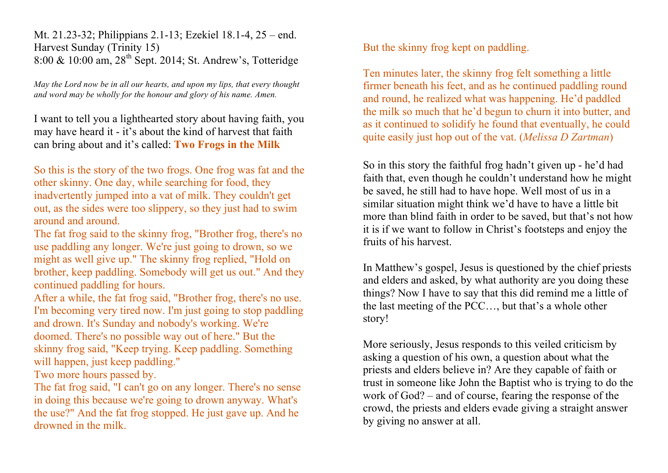Mt. 21.23-32; Philippians 2.1-13; Ezekiel 18.1-4, 25 – end. Harvest Sunday (Trinity 15) 8:00 & 10:00 am,  $28^{th}$  Sept. 2014; St. Andrew's, Totteridge

*May the Lord now be in all our hearts, and upon my lips, that every thought and word may be wholly for the honour and glory of his name. Amen.*

I want to tell you a lighthearted story about having faith, you may have heard it - it's about the kind of harvest that faith can bring about and it's called: **Two Frogs in the Milk**

So this is the story of the two frogs. One frog was fat and the other skinny. One day, while searching for food, they inadvertently jumped into a vat of milk. They couldn't get out, as the sides were too slippery, so they just had to swim around and around.

The fat frog said to the skinny frog, "Brother frog, there's no use paddling any longer. We're just going to drown, so we might as well give up." The skinny frog replied, "Hold on brother, keep paddling. Somebody will get us out." And they continued paddling for hours.

After a while, the fat frog said, "Brother frog, there's no use. I'm becoming very tired now. I'm just going to stop paddling and drown. It's Sunday and nobody's working. We're doomed. There's no possible way out of here." But the skinny frog said, "Keep trying. Keep paddling. Something will happen, just keep paddling."

Two more hours passed by.

The fat frog said, "I can't go on any longer. There's no sense in doing this because we're going to drown anyway. What's the use?" And the fat frog stopped. He just gave up. And he drowned in the milk.

But the skinny frog kept on paddling.

Ten minutes later, the skinny frog felt something a little firmer beneath his feet, and as he continued paddling round and round, he realized what was happening. He'd paddled the milk so much that he'd begun to churn it into butter, and as it continued to solidify he found that eventually, he could quite easily just hop out of the vat. (*Melissa D Zartman*)

So in this story the faithful frog hadn't given up - he'd had faith that, even though he couldn't understand how he might be saved, he still had to have hope. Well most of us in a similar situation might think we'd have to have a little bit more than blind faith in order to be saved, but that's not how it is if we want to follow in Christ's footsteps and enjoy the fruits of his harvest.

In Matthew's gospel, Jesus is questioned by the chief priests and elders and asked, by what authority are you doing these things? Now I have to say that this did remind me a little of the last meeting of the PCC…, but that's a whole other story!

More seriously, Jesus responds to this veiled criticism by asking a question of his own, a question about what the priests and elders believe in? Are they capable of faith or trust in someone like John the Baptist who is trying to do the work of God? – and of course, fearing the response of the crowd, the priests and elders evade giving a straight answer by giving no answer at all.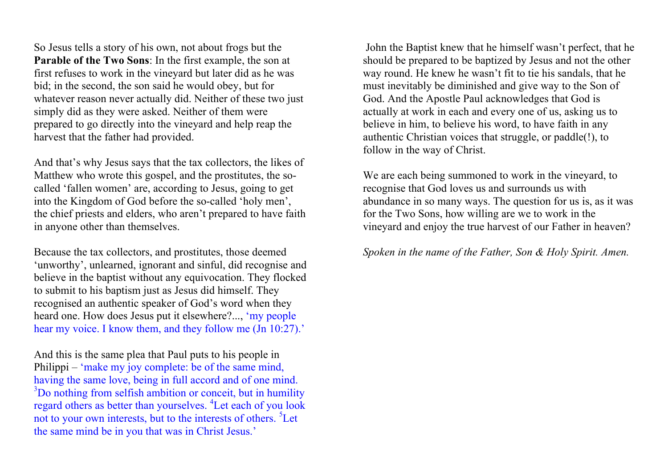So Jesus tells a story of his own, not about frogs but the **Parable of the Two Sons**: In the first example, the son at first refuses to work in the vineyard but later did as he was bid; in the second, the son said he would obey, but for whatever reason never actually did. Neither of these two just simply did as they were asked. Neither of them were prepared to go directly into the vineyard and help reap the harvest that the father had provided.

And that's why Jesus says that the tax collectors, the likes of Matthew who wrote this gospel, and the prostitutes, the socalled 'fallen women' are, according to Jesus, going to get into the Kingdom of God before the so-called 'holy men', the chief priests and elders, who aren't prepared to have faith in anyone other than themselves.

Because the tax collectors, and prostitutes, those deemed 'unworthy', unlearned, ignorant and sinful, did recognise and believe in the baptist without any equivocation. They flocked to submit to his baptism just as Jesus did himself. They recognised an authentic speaker of God's word when they heard one. How does Jesus put it elsewhere?..., 'my people hear my voice. I know them, and they follow me (Jn 10:27).'

And this is the same plea that Paul puts to his people in Philippi – 'make my joy complete: be of the same mind, having the same love, being in full accord and of one mind. <sup>3</sup>Do nothing from selfish ambition or conceit, but in humility regard others as better than yourselves. <sup>4</sup>Let each of you look not to your own interests, but to the interests of others. <sup>5</sup>Let the same mind be in you that was in Christ Jesus.'

John the Baptist knew that he himself wasn't perfect, that he should be prepared to be baptized by Jesus and not the other way round. He knew he wasn't fit to tie his sandals, that he must inevitably be diminished and give way to the Son of God. And the Apostle Paul acknowledges that God is actually at work in each and every one of us, asking us to believe in him, to believe his word, to have faith in any authentic Christian voices that struggle, or paddle(!), to follow in the way of Christ.

We are each being summoned to work in the vineyard, to recognise that God loves us and surrounds us with abundance in so many ways. The question for us is, as it was for the Two Sons, how willing are we to work in the vineyard and enjoy the true harvest of our Father in heaven?

# *Spoken in the name of the Father, Son & Holy Spirit. Amen.*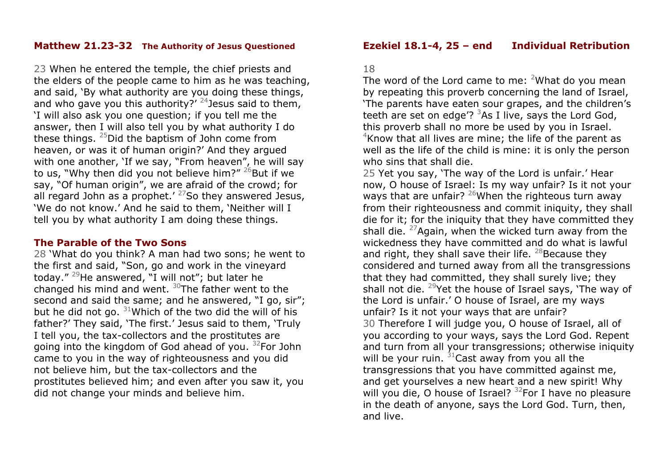#### **Matthew 21.23-32 The Authority of Jesus Questioned**

23 When he entered the temple, the chief priests and the elders of the people came to him as he was teaching, and said, 'By what authority are you doing these things, and who gave you this authority?'  $24$  Jesus said to them, 'I will also ask you one question; if you tell me the answer, then I will also tell you by what authority I do these things.  $25$ Did the baptism of John come from heaven, or was it of human origin?' And they argued with one another, 'If we say, "From heaven", he will say to us, "Why then did you not believe him?"  $26$ But if we say, "Of human origin", we are afraid of the crowd; for all regard John as a prophet.<sup>'  $27$ </sup>So they answered Jesus, 'We do not know.' And he said to them, 'Neither will I tell you by what authority I am doing these things.

#### **The Parable of the Two Sons**

28 'What do you think? A man had two sons; he went to the first and said, "Son, go and work in the vineyard today." 29He answered, "I will not"; but later he changed his mind and went.  $30$ The father went to the second and said the same; and he answered, "I go, sir"; but he did not go.  $31$ Which of the two did the will of his father?' They said, 'The first.' Jesus said to them, 'Truly I tell you, the tax-collectors and the prostitutes are going into the kingdom of God ahead of you.  $32$  For John came to you in the way of righteousness and you did not believe him, but the tax-collectors and the prostitutes believed him; and even after you saw it, you did not change your minds and believe him.

### **Ezekiel 18.1-4, 25 – end Individual Retribution**

#### 18

The word of the Lord came to me:  $2$ What do you mean by repeating this proverb concerning the land of Israel, 'The parents have eaten sour grapes, and the children's teeth are set on edge'?  $3$ As I live, says the Lord God, this proverb shall no more be used by you in Israel.  $4$ Know that all lives are mine; the life of the parent as well as the life of the child is mine: it is only the person who sins that shall die.

25 Yet you say, 'The way of the Lord is unfair.' Hear now, O house of Israel: Is my way unfair? Is it not your ways that are unfair?  $^{26}$ When the righteous turn away from their righteousness and commit iniquity, they shall die for it; for the iniquity that they have committed they shall die.  $27$ Again, when the wicked turn away from the wickedness they have committed and do what is lawful and right, they shall save their life.  $^{28}$ Because they considered and turned away from all the transgressions that they had committed, they shall surely live; they shall not die.  $29$ Yet the house of Israel says, 'The way of the Lord is unfair.' O house of Israel, are my ways unfair? Is it not your ways that are unfair? 30 Therefore I will judge you, O house of Israel, all of you according to your ways, says the Lord God. Repent and turn from all your transgressions; otherwise iniquity will be your ruin.  $31$ Cast away from you all the transgressions that you have committed against me, and get yourselves a new heart and a new spirit! Why will you die, O house of Israel?  $32$  For I have no pleasure in the death of anyone, says the Lord God. Turn, then, and live.